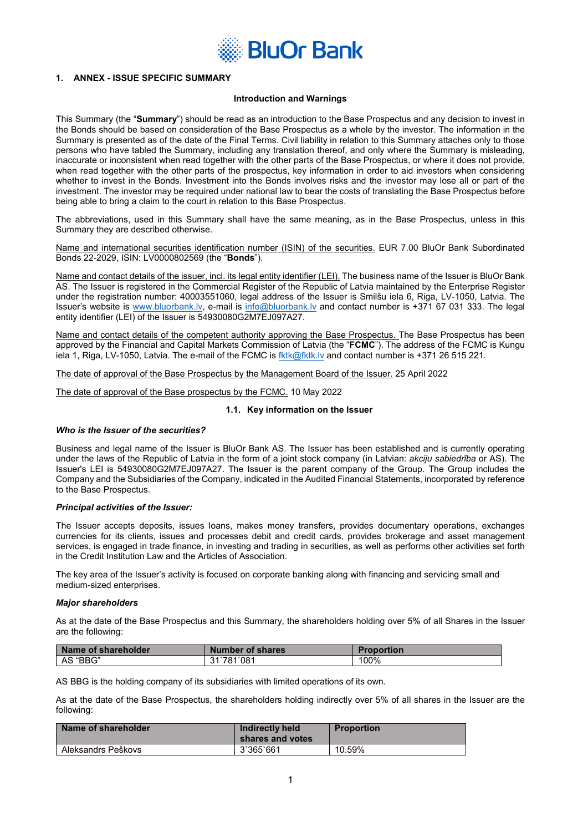

# **1. ANNEX - ISSUE SPECIFIC SUMMARY**

# **Introduction and Warnings**

This Summary (the "**Summary**") should be read as an introduction to the Base Prospectus and any decision to invest in the Bonds should be based on consideration of the Base Prospectus as a whole by the investor. The information in the Summary is presented as of the date of the Final Terms. Civil liability in relation to this Summary attaches only to those persons who have tabled the Summary, including any translation thereof, and only where the Summary is misleading, inaccurate or inconsistent when read together with the other parts of the Base Prospectus, or where it does not provide, when read together with the other parts of the prospectus, key information in order to aid investors when considering whether to invest in the Bonds. Investment into the Bonds involves risks and the investor may lose all or part of the investment. The investor may be required under national law to bear the costs of translating the Base Prospectus before being able to bring a claim to the court in relation to this Base Prospectus.

The abbreviations, used in this Summary shall have the same meaning, as in the Base Prospectus, unless in this Summary they are described otherwise.

Name and international securities identification number (ISIN) of the securities. EUR 7.00 BluOr Bank Subordinated Bonds 22-2029, ISIN: LV0000802569 (the "**Bonds**").

Name and contact details of the issuer, incl. its legal entity identifier (LEI). The business name of the Issuer is BluOr Bank AS. The Issuer is registered in the Commercial Register of the Republic of Latvia maintained by the Enterprise Register under the registration number: 40003551060, legal address of the Issuer is Smilšu iela 6, Riga, LV-1050, Latvia. The Issuer's website is [www.bluorbank.lv](http://www.bluorbank./), e-mail is [info@bluorbank.lv](mailto:info@bluorbank.lv) and contact number is +371 67 031 333. The legal entity identifier (LEI) of the Issuer is 54930080G2M7EJ097A27.

Name and contact details of the competent authority approving the Base Prospectus. The Base Prospectus has been approved by the Financial and Capital Markets Commission of Latvia (the "**FCMC**"). The address of the FCMC is Kungu iela 1, Riga, LV-1050, Latvia. The e-mail of the FCMC is [fktk@fktk.lv](mailto:fktk@fktk.lv) and contact number is +371 26 515 221.

The date of approval of the Base Prospectus by the Management Board of the Issuer. 25 April 2022

The date of approval of the Base prospectus by the FCMC. 10 May 2022

### **1.1. Key information on the Issuer**

#### *Who is the Issuer of the securities?*

Business and legal name of the Issuer is BluOr Bank AS. The Issuer has been established and is currently operating under the laws of the Republic of Latvia in the form of a joint stock company (in Latvian: *akciju sabiedrība* or AS). The Issuer's LEI is 54930080G2M7EJ097A27. The Issuer is the parent company of the Group. The Group includes the Company and the Subsidiaries of the Company, indicated in the Audited Financial Statements, incorporated by reference to the Base Prospectus.

#### *Principal activities of the Issuer:*

The Issuer accepts deposits, issues loans, makes money transfers, provides documentary operations, exchanges currencies for its clients, issues and processes debit and credit cards, provides brokerage and asset management services, is engaged in trade finance, in investing and trading in securities, as well as performs other activities set forth in the Credit Institution Law and the Articles of Association.

The key area of the Issuer's activity is focused on corporate banking along with financing and servicing small and medium-sized enterprises.

#### *Major shareholders*

As at the date of the Base Prospectus and this Summary, the shareholders holding over 5% of all Shares in the Issuer are the following:

| Name of shareholder | <b>Number of shares</b> | <b>Proportion</b> |
|---------------------|-------------------------|-------------------|
| AS "BBG"            | 31`781`081              | 100%              |

AS BBG is the holding company of its subsidiaries with limited operations of its own.

As at the date of the Base Prospectus, the shareholders holding indirectly over 5% of all shares in the Issuer are the following:

| Name of shareholder | Indirectly held<br>shares and votes | <b>Proportion</b> |
|---------------------|-------------------------------------|-------------------|
| Aleksandrs Peškovs  | 3'365'661                           | 10.59%            |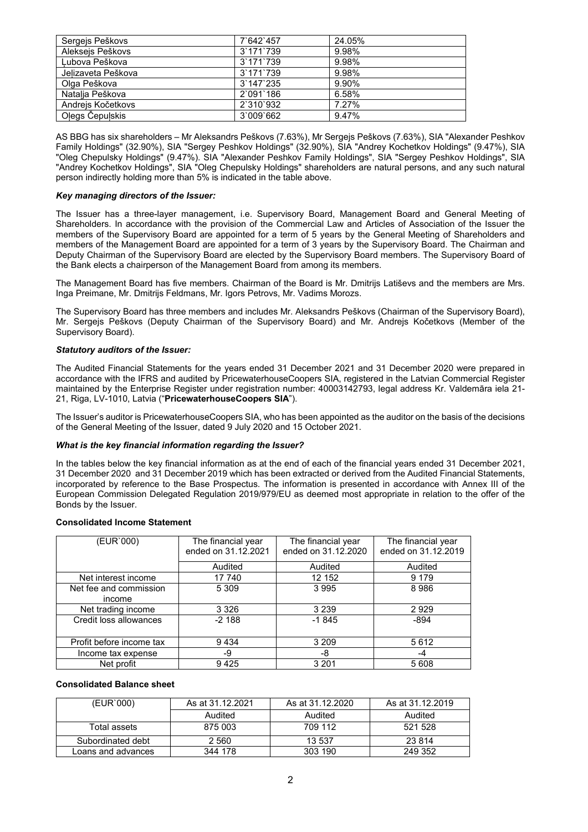| Sergejs Peškovs    | 7'642'457 | 24.05% |
|--------------------|-----------|--------|
| Alekseis Peškovs   | 3'171'739 | 9.98%  |
| Lubova Peškova     | 3'171'739 | 9.98%  |
| Jelizaveta Peškova | 3'171'739 | 9.98%  |
| Olga Peškova       | 3'147'235 | 9.90%  |
| Natalia Peškova    | 2`091`186 | 6.58%  |
| Andreis Kočetkovs  | 2'310'932 | 7.27%  |
| Oļegs Čepuļskis    | 3'009'662 | 9.47%  |

AS BBG has six shareholders – Mr Aleksandrs Peškovs (7.63%), Mr Sergejs Peškovs (7.63%), SIA "Alexander Peshkov Family Holdings" (32.90%), SIA "Sergey Peshkov Holdings" (32.90%), SIA "Andrey Kochetkov Holdings" (9.47%), SIA "Oleg Chepulsky Holdings" (9.47%). SIA "Alexander Peshkov Family Holdings", SIA "Sergey Peshkov Holdings", SIA "Andrey Kochetkov Holdings", SIA "Oleg Chepulsky Holdings" shareholders are natural persons, and any such natural person indirectly holding more than 5% is indicated in the table above.

# *Key managing directors of the Issuer:*

The Issuer has a three-layer management, i.e. Supervisory Board, Management Board and General Meeting of Shareholders. In accordance with the provision of the Commercial Law and Articles of Association of the Issuer the members of the Supervisory Board are appointed for a term of 5 years by the General Meeting of Shareholders and members of the Management Board are appointed for a term of 3 years by the Supervisory Board. The Chairman and Deputy Chairman of the Supervisory Board are elected by the Supervisory Board members. The Supervisory Board of the Bank elects a chairperson of the Management Board from among its members.

The Management Board has five members. Chairman of the Board is Mr. Dmitrijs Latiševs and the members are Mrs. Inga Preimane, Mr. Dmitrijs Feldmans, Mr. Igors Petrovs, Mr. Vadims Morozs.

The Supervisory Board has three members and includes Mr. Aleksandrs Peškovs (Chairman of the Supervisory Board), Mr. Sergejs Peškovs (Deputy Chairman of the Supervisory Board) and Mr. Andrejs Kočetkovs (Member of the Supervisory Board).

# *Statutory auditors of the Issuer:*

The Audited Financial Statements for the years ended 31 December 2021 and 31 December 2020 were prepared in accordance with the IFRS and audited by PricewaterhouseCoopers SIA, registered in the Latvian Commercial Register maintained by the Enterprise Register under registration number: 40003142793, legal address Kr. Valdemāra iela 21- 21, Riga, LV-1010, Latvia ("**PricewaterhouseCoopers SIA**").

The Issuer's auditor is PricewaterhouseCoopers SIA, who has been appointed as the auditor on the basis of the decisions of the General Meeting of the Issuer, dated 9 July 2020 and 15 October 2021.

# *What is the key financial information regarding the Issuer?*

In the tables below the key financial information as at the end of each of the financial years ended 31 December 2021, 31 December 2020 and 31 December 2019 which has been extracted or derived from the Audited Financial Statements, incorporated by reference to the Base Prospectus. The information is presented in accordance with Annex III of the European Commission Delegated Regulation 2019/979/EU as deemed most appropriate in relation to the offer of the Bonds by the Issuer.

# **Consolidated Income Statement**

| (EUR`000)                | The financial year  | The financial year  | The financial year  |
|--------------------------|---------------------|---------------------|---------------------|
|                          | ended on 31.12.2021 | ended on 31.12.2020 | ended on 31.12.2019 |
|                          | Audited             | Audited             | Audited             |
| Net interest income      | 17 740              | 12 152              | 9 1 7 9             |
| Net fee and commission   | 5 3 0 9             | 3 9 9 5             | 8986                |
| income                   |                     |                     |                     |
| Net trading income       | 3 3 2 6             | 3 2 3 9             | 2929                |
| Credit loss allowances   | $-2188$             | $-1845$             | -894                |
|                          |                     |                     |                     |
| Profit before income tax | 9434                | 3 2 0 9             | 5 6 1 2             |
| Income tax expense       | -9                  | -8                  | -4                  |
| Net profit               | 9425                | 3 2 0 1             | 5 608               |

# **Consolidated Balance sheet**

| (EUR`000)          | As at 31.12.2021 | As at 31.12.2020 | As at 31.12.2019 |
|--------------------|------------------|------------------|------------------|
|                    | Audited          | Audited          | Audited          |
| Total assets       | 875 003          | 709 112          | 521 528          |
| Subordinated debt  | 2 5 6 0          | 13 537           | 23 814           |
| Loans and advances | 344 178          | 303 190          | 249 352          |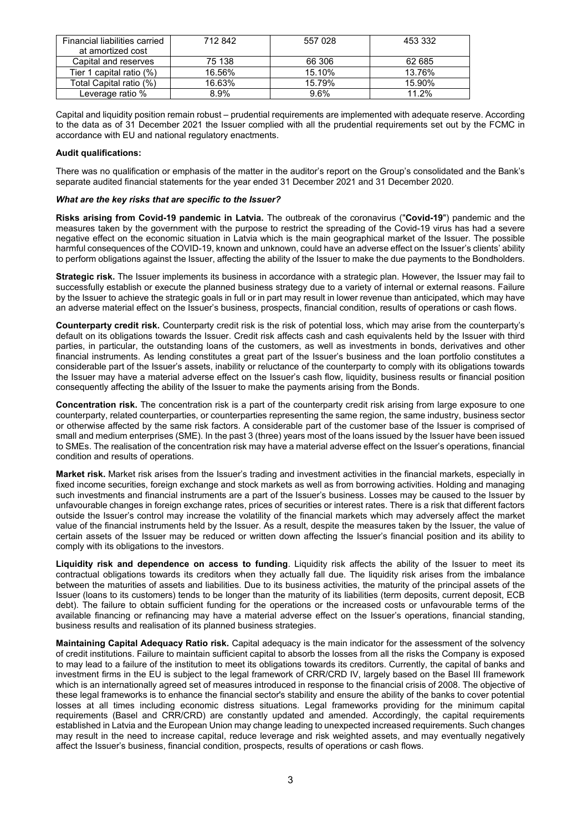| Financial liabilities carried<br>at amortized cost | 712842 | 557 028 | 453 332 |
|----------------------------------------------------|--------|---------|---------|
| Capital and reserves                               | 75 138 | 66 306  | 62 685  |
| Tier 1 capital ratio (%)                           | 16.56% | 15.10%  | 13.76%  |
| Total Capital ratio (%)                            | 16.63% | 15.79%  | 15.90%  |
| Leverage ratio %                                   | 8.9%   | 9.6%    | 11.2%   |

Capital and liquidity position remain robust – prudential requirements are implemented with adequate reserve. According to the data as of 31 December 2021 the Issuer complied with all the prudential requirements set out by the FCMC in accordance with EU and national regulatory enactments.

# **Audit qualifications:**

There was no qualification or emphasis of the matter in the auditor's report on the Group's consolidated and the Bank's separate audited financial statements for the year ended 31 December 2021 and 31 December 2020.

# *What are the key risks that are specific to the Issuer?*

**Risks arising from Covid-19 pandemic in Latvia.** The outbreak of the coronavirus ("**Covid-19**") pandemic and the measures taken by the government with the purpose to restrict the spreading of the Covid-19 virus has had a severe negative effect on the economic situation in Latvia which is the main geographical market of the Issuer. The possible harmful consequences of the COVID-19, known and unknown, could have an adverse effect on the Issuer's clients' ability to perform obligations against the Issuer, affecting the ability of the Issuer to make the due payments to the Bondholders.

**Strategic risk.** The Issuer implements its business in accordance with a strategic plan. However, the Issuer may fail to successfully establish or execute the planned business strategy due to a variety of internal or external reasons. Failure by the Issuer to achieve the strategic goals in full or in part may result in lower revenue than anticipated, which may have an adverse material effect on the Issuer's business, prospects, financial condition, results of operations or cash flows.

**Counterparty credit risk.** Counterparty credit risk is the risk of potential loss, which may arise from the counterparty's default on its obligations towards the Issuer. Credit risk affects cash and cash equivalents held by the Issuer with third parties, in particular, the outstanding loans of the customers, as well as investments in bonds, derivatives and other financial instruments. As lending constitutes a great part of the Issuer's business and the loan portfolio constitutes a considerable part of the Issuer's assets, inability or reluctance of the counterparty to comply with its obligations towards the Issuer may have a material adverse effect on the Issuer's cash flow, liquidity, business results or financial position consequently affecting the ability of the Issuer to make the payments arising from the Bonds.

**Concentration risk.** The concentration risk is a part of the counterparty credit risk arising from large exposure to one counterparty, related counterparties, or counterparties representing the same region, the same industry, business sector or otherwise affected by the same risk factors. A considerable part of the customer base of the Issuer is comprised of small and medium enterprises (SME). In the past 3 (three) years most of the loans issued by the Issuer have been issued to SMEs. The realisation of the concentration risk may have a material adverse effect on the Issuer's operations, financial condition and results of operations.

**Market risk.** Market risk arises from the Issuer's trading and investment activities in the financial markets, especially in fixed income securities, foreign exchange and stock markets as well as from borrowing activities. Holding and managing such investments and financial instruments are a part of the Issuer's business. Losses may be caused to the Issuer by unfavourable changes in foreign exchange rates, prices of securities or interest rates. There is a risk that different factors outside the Issuer's control may increase the volatility of the financial markets which may adversely affect the market value of the financial instruments held by the Issuer. As a result, despite the measures taken by the Issuer, the value of certain assets of the Issuer may be reduced or written down affecting the Issuer's financial position and its ability to comply with its obligations to the investors.

**Liquidity risk and dependence on access to funding**. Liquidity risk affects the ability of the Issuer to meet its contractual obligations towards its creditors when they actually fall due. The liquidity risk arises from the imbalance between the maturities of assets and liabilities. Due to its business activities, the maturity of the principal assets of the Issuer (loans to its customers) tends to be longer than the maturity of its liabilities (term deposits, current deposit, ECB debt). The failure to obtain sufficient funding for the operations or the increased costs or unfavourable terms of the available financing or refinancing may have a material adverse effect on the Issuer's operations, financial standing, business results and realisation of its planned business strategies.

**Maintaining Capital Adequacy Ratio risk.** Capital adequacy is the main indicator for the assessment of the solvency of credit institutions. Failure to maintain sufficient capital to absorb the losses from all the risks the Company is exposed to may lead to a failure of the institution to meet its obligations towards its creditors. Currently, the capital of banks and investment firms in the EU is subject to the legal framework of CRR/CRD IV, largely based on the Basel III framework which is an internationally agreed set of measures introduced in response to the financial crisis of 2008. The objective of these legal frameworks is to enhance the financial sector's stability and ensure the ability of the banks to cover potential losses at all times including economic distress situations. Legal frameworks providing for the minimum capital requirements (Basel and CRR/CRD) are constantly updated and amended. Accordingly, the capital requirements established in Latvia and the European Union may change leading to unexpected increased requirements. Such changes may result in the need to increase capital, reduce leverage and risk weighted assets, and may eventually negatively affect the Issuer's business, financial condition, prospects, results of operations or cash flows.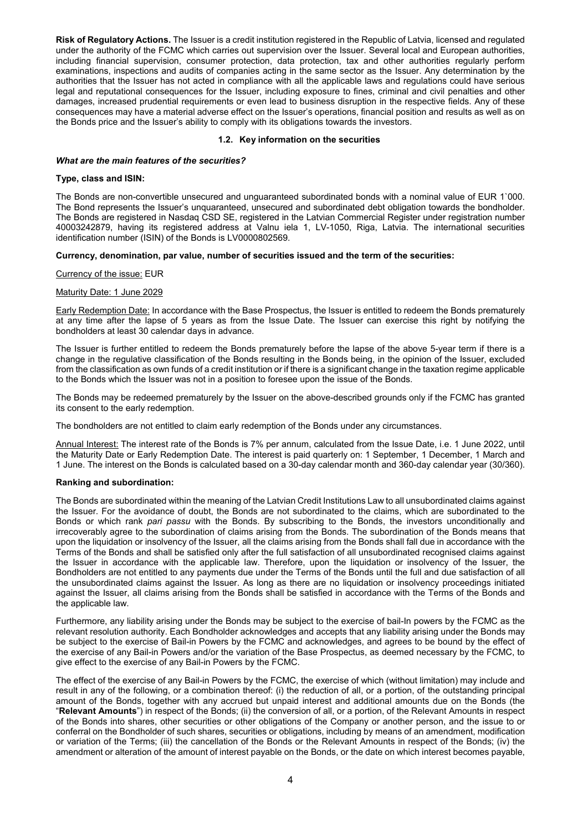**Risk of Regulatory Actions.** The Issuer is a credit institution registered in the Republic of Latvia, licensed and regulated under the authority of the FCMC which carries out supervision over the Issuer. Several local and European authorities, including financial supervision, consumer protection, data protection, tax and other authorities regularly perform examinations, inspections and audits of companies acting in the same sector as the Issuer. Any determination by the authorities that the Issuer has not acted in compliance with all the applicable laws and regulations could have serious legal and reputational consequences for the Issuer, including exposure to fines, criminal and civil penalties and other damages, increased prudential requirements or even lead to business disruption in the respective fields. Any of these consequences may have a material adverse effect on the Issuer's operations, financial position and results as well as on the Bonds price and the Issuer's ability to comply with its obligations towards the investors.

# **1.2. Key information on the securities**

## *What are the main features of the securities?*

## **Type, class and ISIN:**

The Bonds are non-convertible unsecured and unguaranteed subordinated bonds with a nominal value of EUR 1`000. The Bond represents the Issuer's unquaranteed, unsecured and subordinated debt obligation towards the bondholder. The Bonds are registered in Nasdaq CSD SE, registered in the Latvian Commercial Register under registration number 40003242879, having its registered address at Valnu iela 1, LV-1050, Riga, Latvia. The international securities identification number (ISIN) of the Bonds is LV0000802569.

# **Currency, denomination, par value, number of securities issued and the term of the securities:**

# Currency of the issue: EUR

# Maturity Date: 1 June 2029

Early Redemption Date: In accordance with the Base Prospectus, the Issuer is entitled to redeem the Bonds prematurely at any time after the lapse of 5 years as from the Issue Date. The Issuer can exercise this right by notifying the bondholders at least 30 calendar days in advance.

The Issuer is further entitled to redeem the Bonds prematurely before the lapse of the above 5-year term if there is a change in the regulative classification of the Bonds resulting in the Bonds being, in the opinion of the Issuer, excluded from the classification as own funds of a credit institution or if there is a significant change in the taxation regime applicable to the Bonds which the Issuer was not in a position to foresee upon the issue of the Bonds.

The Bonds may be redeemed prematurely by the Issuer on the above-described grounds only if the FCMC has granted its consent to the early redemption.

The bondholders are not entitled to claim early redemption of the Bonds under any circumstances.

Annual Interest: The interest rate of the Bonds is 7% per annum, calculated from the Issue Date, i.e. 1 June 2022, until the Maturity Date or Early Redemption Date. The interest is paid quarterly on: 1 September, 1 December, 1 March and 1 June. The interest on the Bonds is calculated based on a 30-day calendar month and 360-day calendar year (30/360).

# **Ranking and subordination:**

The Bonds are subordinated within the meaning of the Latvian Credit Institutions Law to all unsubordinated claims against the Issuer. For the avoidance of doubt, the Bonds are not subordinated to the claims, which are subordinated to the Bonds or which rank *pari passu* with the Bonds. By subscribing to the Bonds, the investors unconditionally and irrecoverably agree to the subordination of claims arising from the Bonds. The subordination of the Bonds means that upon the liquidation or insolvency of the Issuer, all the claims arising from the Bonds shall fall due in accordance with the Terms of the Bonds and shall be satisfied only after the full satisfaction of all unsubordinated recognised claims against the Issuer in accordance with the applicable law. Therefore, upon the liquidation or insolvency of the Issuer, the Bondholders are not entitled to any payments due under the Terms of the Bonds until the full and due satisfaction of all the unsubordinated claims against the Issuer. As long as there are no liquidation or insolvency proceedings initiated against the Issuer, all claims arising from the Bonds shall be satisfied in accordance with the Terms of the Bonds and the applicable law.

Furthermore, any liability arising under the Bonds may be subject to the exercise of bail-In powers by the FCMC as the relevant resolution authority. Each Bondholder acknowledges and accepts that any liability arising under the Bonds may be subject to the exercise of Bail-in Powers by the FCMC and acknowledges, and agrees to be bound by the effect of the exercise of any Bail-in Powers and/or the variation of the Base Prospectus, as deemed necessary by the FCMC, to give effect to the exercise of any Bail-in Powers by the FCMC.

The effect of the exercise of any Bail-in Powers by the FCMC, the exercise of which (without limitation) may include and result in any of the following, or a combination thereof: (i) the reduction of all, or a portion, of the outstanding principal amount of the Bonds, together with any accrued but unpaid interest and additional amounts due on the Bonds (the "**Relevant Amounts**") in respect of the Bonds; (ii) the conversion of all, or a portion, of the Relevant Amounts in respect of the Bonds into shares, other securities or other obligations of the Company or another person, and the issue to or conferral on the Bondholder of such shares, securities or obligations, including by means of an amendment, modification or variation of the Terms; (iii) the cancellation of the Bonds or the Relevant Amounts in respect of the Bonds; (iv) the amendment or alteration of the amount of interest payable on the Bonds, or the date on which interest becomes payable,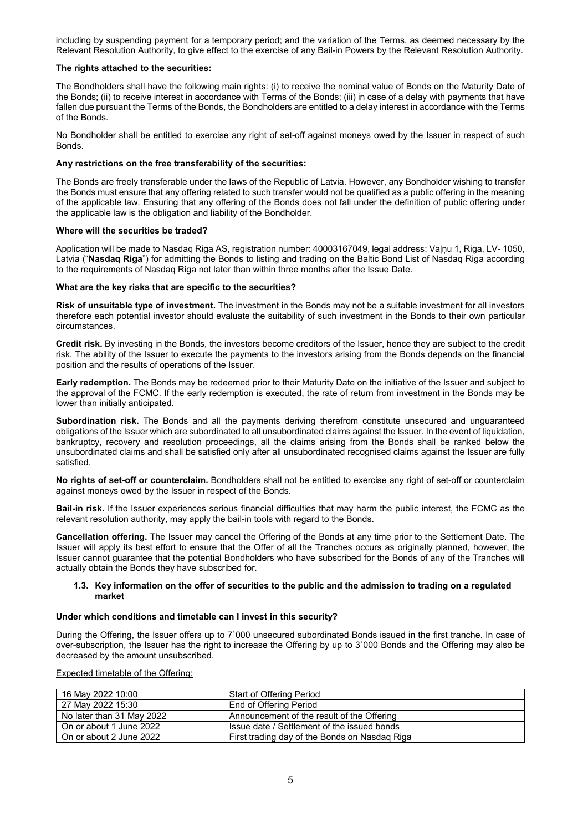including by suspending payment for a temporary period; and the variation of the Terms, as deemed necessary by the Relevant Resolution Authority, to give effect to the exercise of any Bail-in Powers by the Relevant Resolution Authority.

# **The rights attached to the securities:**

The Bondholders shall have the following main rights: (i) to receive the nominal value of Bonds on the Maturity Date of the Bonds; (ii) to receive interest in accordance with Terms of the Bonds; (iii) in case of a delay with payments that have fallen due pursuant the Terms of the Bonds, the Bondholders are entitled to a delay interest in accordance with the Terms of the Bonds.

No Bondholder shall be entitled to exercise any right of set-off against moneys owed by the Issuer in respect of such Bonds.

### **Any restrictions on the free transferability of the securities:**

The Bonds are freely transferable under the laws of the Republic of Latvia. However, any Bondholder wishing to transfer the Bonds must ensure that any offering related to such transfer would not be qualified as a public offering in the meaning of the applicable law. Ensuring that any offering of the Bonds does not fall under the definition of public offering under the applicable law is the obligation and liability of the Bondholder.

### **Where will the securities be traded?**

Application will be made to Nasdaq Riga AS, registration number: 40003167049, legal address: Vaļņu 1, Riga, LV- 1050, Latvia ("**Nasdaq Riga**") for admitting the Bonds to listing and trading on the Baltic Bond List of Nasdaq Riga according to the requirements of Nasdaq Riga not later than within three months after the Issue Date.

#### **What are the key risks that are specific to the securities?**

**Risk of unsuitable type of investment.** The investment in the Bonds may not be a suitable investment for all investors therefore each potential investor should evaluate the suitability of such investment in the Bonds to their own particular circumstances.

**Credit risk.** By investing in the Bonds, the investors become creditors of the Issuer, hence they are subject to the credit risk. The ability of the Issuer to execute the payments to the investors arising from the Bonds depends on the financial position and the results of operations of the Issuer.

**Early redemption.** The Bonds may be redeemed prior to their Maturity Date on the initiative of the Issuer and subject to the approval of the FCMC. If the early redemption is executed, the rate of return from investment in the Bonds may be lower than initially anticipated.

**Subordination risk.** The Bonds and all the payments deriving therefrom constitute unsecured and unguaranteed obligations of the Issuer which are subordinated to all unsubordinated claims against the Issuer. In the event of liquidation, bankruptcy, recovery and resolution proceedings, all the claims arising from the Bonds shall be ranked below the unsubordinated claims and shall be satisfied only after all unsubordinated recognised claims against the Issuer are fully satisfied.

**No rights of set-off or counterclaim.** Bondholders shall not be entitled to exercise any right of set-off or counterclaim against moneys owed by the Issuer in respect of the Bonds.

**Bail-in risk.** If the Issuer experiences serious financial difficulties that may harm the public interest, the FCMC as the relevant resolution authority, may apply the bail-in tools with regard to the Bonds.

**Cancellation offering.** The Issuer may cancel the Offering of the Bonds at any time prior to the Settlement Date. The Issuer will apply its best effort to ensure that the Offer of all the Tranches occurs as originally planned, however, the Issuer cannot guarantee that the potential Bondholders who have subscribed for the Bonds of any of the Tranches will actually obtain the Bonds they have subscribed for.

### **1.3. Key information on the offer of securities to the public and the admission to trading on a regulated market**

# **Under which conditions and timetable can I invest in this security?**

During the Offering, the Issuer offers up to 7`000 unsecured subordinated Bonds issued in the first tranche. In case of over-subscription, the Issuer has the right to increase the Offering by up to 3`000 Bonds and the Offering may also be decreased by the amount unsubscribed.

Expected timetable of the Offering:

| 16 May 2022 10:00         | <b>Start of Offering Period</b>               |
|---------------------------|-----------------------------------------------|
| 27 May 2022 15:30         | End of Offering Period                        |
| No later than 31 May 2022 | Announcement of the result of the Offering    |
| On or about 1 June 2022   | Issue date / Settlement of the issued bonds   |
| On or about 2 June 2022   | First trading day of the Bonds on Nasdaq Riga |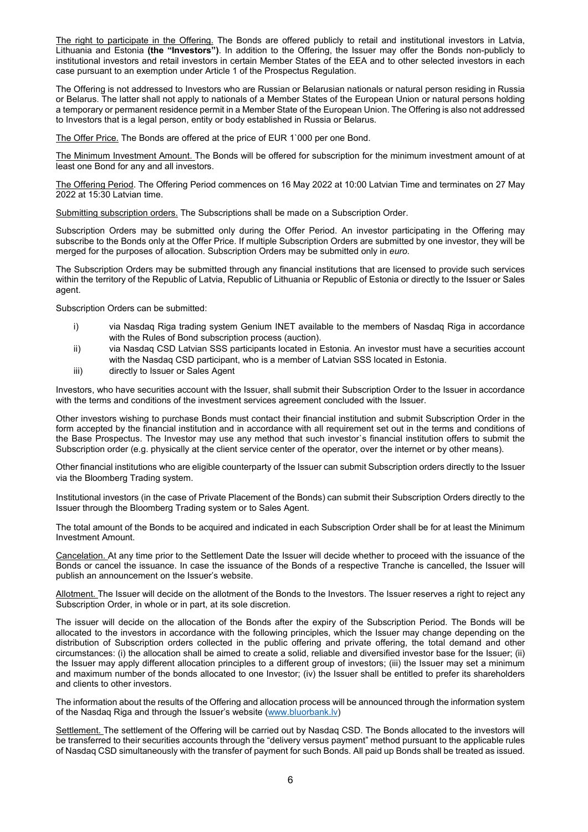The right to participate in the Offering. The Bonds are offered publicly to retail and institutional investors in Latvia, Lithuania and Estonia **(the "Investors")**. In addition to the Offering, the Issuer may offer the Bonds non-publicly to institutional investors and retail investors in certain Member States of the EEA and to other selected investors in each case pursuant to an exemption under Article 1 of the Prospectus Regulation.

The Offering is not addressed to Investors who are Russian or Belarusian nationals or natural person residing in Russia or Belarus. The latter shall not apply to nationals of a Member States of the European Union or natural persons holding a temporary or permanent residence permit in a Member State of the European Union. The Offering is also not addressed to Investors that is a legal person, entity or body established in Russia or Belarus.

The Offer Price. The Bonds are offered at the price of EUR 1`000 per one Bond.

The Minimum Investment Amount. The Bonds will be offered for subscription for the minimum investment amount of at least one Bond for any and all investors.

The Offering Period. The Offering Period commences on 16 May 2022 at 10:00 Latvian Time and terminates on 27 May 2022 at 15:30 Latvian time.

Submitting subscription orders. The Subscriptions shall be made on a Subscription Order.

Subscription Orders may be submitted only during the Offer Period. An investor participating in the Offering may subscribe to the Bonds only at the Offer Price. If multiple Subscription Orders are submitted by one investor, they will be merged for the purposes of allocation. Subscription Orders may be submitted only in *euro*.

The Subscription Orders may be submitted through any financial institutions that are licensed to provide such services within the territory of the Republic of Latvia, Republic of Lithuania or Republic of Estonia or directly to the Issuer or Sales agent.

Subscription Orders can be submitted:

- i) via Nasdaq Riga trading system Genium INET available to the members of Nasdaq Riga in accordance with the Rules of Bond subscription process (auction).
- ii) via Nasdaq CSD Latvian SSS participants located in Estonia. An investor must have a securities account with the Nasdaq CSD participant, who is a member of Latvian SSS located in Estonia.
- iii) directly to Issuer or Sales Agent

Investors, who have securities account with the Issuer, shall submit their Subscription Order to the Issuer in accordance with the terms and conditions of the investment services agreement concluded with the Issuer.

Other investors wishing to purchase Bonds must contact their financial institution and submit Subscription Order in the form accepted by the financial institution and in accordance with all requirement set out in the terms and conditions of the Base Prospectus. The Investor may use any method that such investor`s financial institution offers to submit the Subscription order (e.g. physically at the client service center of the operator, over the internet or by other means).

Other financial institutions who are eligible counterparty of the Issuer can submit Subscription orders directly to the Issuer via the Bloomberg Trading system.

Institutional investors (in the case of Private Placement of the Bonds) can submit their Subscription Orders directly to the Issuer through the Bloomberg Trading system or to Sales Agent.

The total amount of the Bonds to be acquired and indicated in each Subscription Order shall be for at least the Minimum Investment Amount.

Cancelation. At any time prior to the Settlement Date the Issuer will decide whether to proceed with the issuance of the Bonds or cancel the issuance. In case the issuance of the Bonds of a respective Tranche is cancelled, the Issuer will publish an announcement on the Issuer's website.

Allotment. The Issuer will decide on the allotment of the Bonds to the Investors. The Issuer reserves a right to reject any Subscription Order, in whole or in part, at its sole discretion.

The issuer will decide on the allocation of the Bonds after the expiry of the Subscription Period. The Bonds will be allocated to the investors in accordance with the following principles, which the Issuer may change depending on the distribution of Subscription orders collected in the public offering and private offering, the total demand and other circumstances: (i) the allocation shall be aimed to create a solid, reliable and diversified investor base for the Issuer; (ii) the Issuer may apply different allocation principles to a different group of investors; (iii) the Issuer may set a minimum and maximum number of the bonds allocated to one Investor; (iv) the Issuer shall be entitled to prefer its shareholders and clients to other investors.

The information about the results of the Offering and allocation process will be announced through the information system of the Nasdaq Riga and through the Issuer's website [\(www.bluorbank.lv\)](http://www.bluorbank.lv/)

Settlement. The settlement of the Offering will be carried out by Nasdaq CSD. The Bonds allocated to the investors will be transferred to their securities accounts through the "delivery versus payment" method pursuant to the applicable rules of Nasdaq CSD simultaneously with the transfer of payment for such Bonds. All paid up Bonds shall be treated as issued.